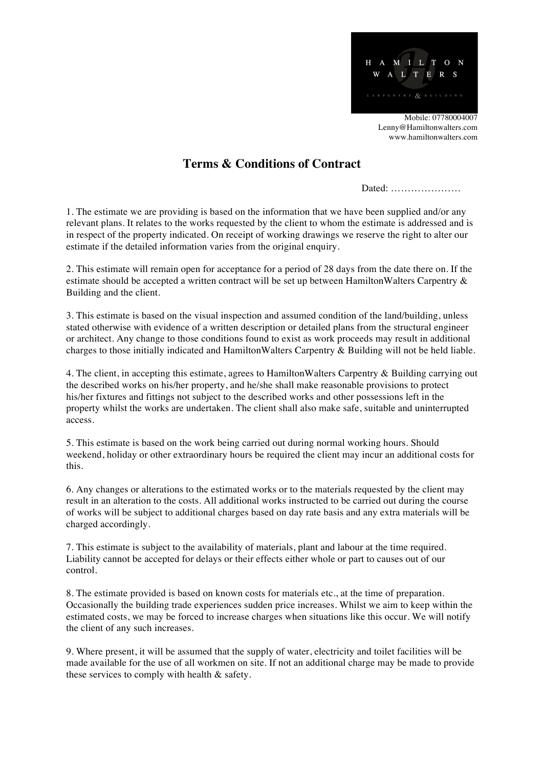

## **Terms & Conditions of Contract**

Dated: …………………

1. The estimate we are providing is based on the information that we have been supplied and/or any relevant plans. It relates to the works requested by the client to whom the estimate is addressed and is in respect of the property indicated. On receipt of working drawings we reserve the right to alter our estimate if the detailed information varies from the original enquiry.

2. This estimate will remain open for acceptance for a period of 28 days from the date there on. If the estimate should be accepted a written contract will be set up between HamiltonWalters Carpentry & Building and the client.

3. This estimate is based on the visual inspection and assumed condition of the land/building, unless stated otherwise with evidence of a written description or detailed plans from the structural engineer or architect. Any change to those conditions found to exist as work proceeds may result in additional charges to those initially indicated and HamiltonWalters Carpentry & Building will not be held liable.

4. The client, in accepting this estimate, agrees to HamiltonWalters Carpentry & Building carrying out the described works on his/her property, and he/she shall make reasonable provisions to protect his/her fixtures and fittings not subject to the described works and other possessions left in the property whilst the works are undertaken. The client shall also make safe, suitable and uninterrupted access.

5. This estimate is based on the work being carried out during normal working hours. Should weekend, holiday or other extraordinary hours be required the client may incur an additional costs for this.

6. Any changes or alterations to the estimated works or to the materials requested by the client may result in an alteration to the costs. All additional works instructed to be carried out during the course of works will be subject to additional charges based on day rate basis and any extra materials will be charged accordingly.

7. This estimate is subject to the availability of materials, plant and labour at the time required. Liability cannot be accepted for delays or their effects either whole or part to causes out of our control.

8. The estimate provided is based on known costs for materials etc., at the time of preparation. Occasionally the building trade experiences sudden price increases. Whilst we aim to keep within the estimated costs, we may be forced to increase charges when situations like this occur. We will notify the client of any such increases.

9. Where present, it will be assumed that the supply of water, electricity and toilet facilities will be made available for the use of all workmen on site. If not an additional charge may be made to provide these services to comply with health & safety.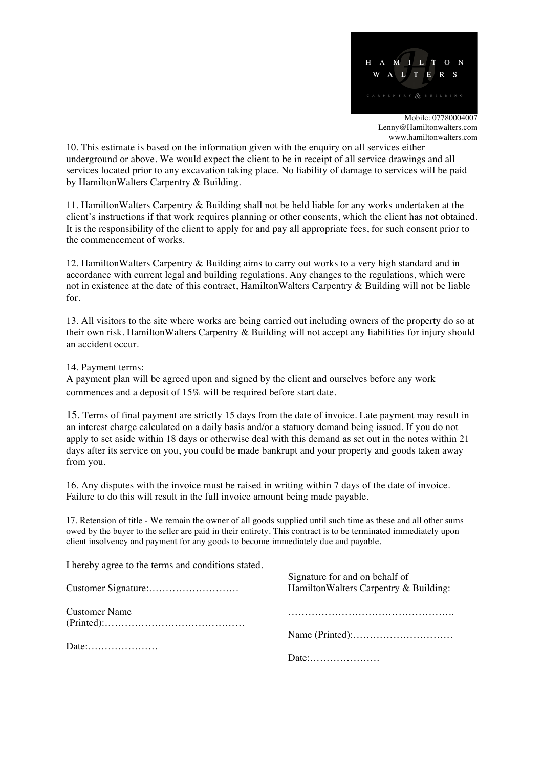

10. This estimate is based on the information given with the enquiry on all services either underground or above. We would expect the client to be in receipt of all service drawings and all services located prior to any excavation taking place. No liability of damage to services will be paid by HamiltonWalters Carpentry & Building.

11. HamiltonWalters Carpentry & Building shall not be held liable for any works undertaken at the client's instructions if that work requires planning or other consents, which the client has not obtained. It is the responsibility of the client to apply for and pay all appropriate fees, for such consent prior to the commencement of works.

12. HamiltonWalters Carpentry & Building aims to carry out works to a very high standard and in accordance with current legal and building regulations. Any changes to the regulations, which were not in existence at the date of this contract, HamiltonWalters Carpentry & Building will not be liable for.

13. All visitors to the site where works are being carried out including owners of the property do so at their own risk. HamiltonWalters Carpentry & Building will not accept any liabilities for injury should an accident occur.

14. Payment terms:

A payment plan will be agreed upon and signed by the client and ourselves before any work commences and a deposit of 15% will be required before start date.

15. Terms of final payment are strictly 15 days from the date of invoice. Late payment may result in an interest charge calculated on a daily basis and/or a statuory demand being issued. If you do not apply to set aside within 18 days or otherwise deal with this demand as set out in the notes within 21 days after its service on you, you could be made bankrupt and your property and goods taken away from you.

16. Any disputes with the invoice must be raised in writing within 7 days of the date of invoice. Failure to do this will result in the full invoice amount being made payable.

17. Retension of title - We remain the owner of all goods supplied until such time as these and all other sums owed by the buyer to the seller are paid in their entirety. This contract is to be terminated immediately upon client insolvency and payment for any goods to become immediately due and payable.

I hereby agree to the terms and conditions stated.

|                      | Signature for and on behalf of<br>Hamilton Walters Carpentry & Building: |
|----------------------|--------------------------------------------------------------------------|
| <b>Customer Name</b> |                                                                          |
|                      |                                                                          |
|                      |                                                                          |
|                      |                                                                          |
|                      |                                                                          |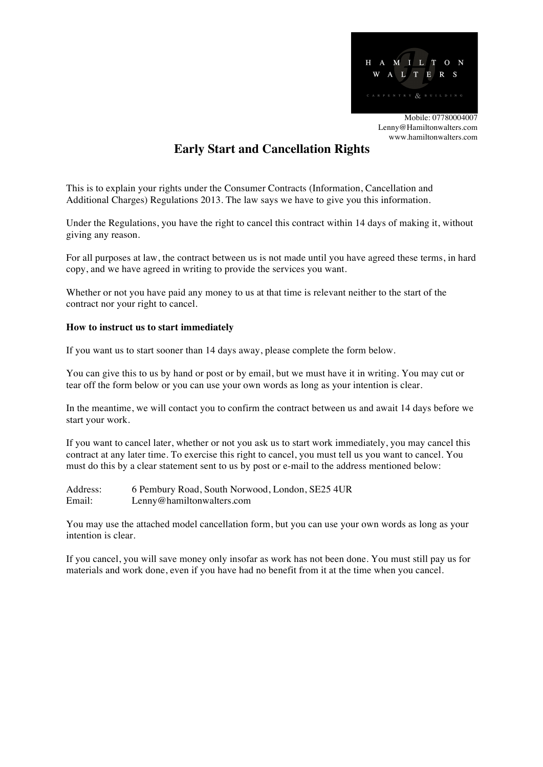

# **Early Start and Cancellation Rights**

This is to explain your rights under the Consumer Contracts (Information, Cancellation and Additional Charges) Regulations 2013. The law says we have to give you this information.

Under the Regulations, you have the right to cancel this contract within 14 days of making it, without giving any reason.

For all purposes at law, the contract between us is not made until you have agreed these terms, in hard copy, and we have agreed in writing to provide the services you want.

Whether or not you have paid any money to us at that time is relevant neither to the start of the contract nor your right to cancel.

### **How to instruct us to start immediately**

If you want us to start sooner than 14 days away, please complete the form below.

You can give this to us by hand or post or by email, but we must have it in writing. You may cut or tear off the form below or you can use your own words as long as your intention is clear.

In the meantime, we will contact you to confirm the contract between us and await 14 days before we start your work.

If you want to cancel later, whether or not you ask us to start work immediately, you may cancel this contract at any later time. To exercise this right to cancel, you must tell us you want to cancel. You must do this by a clear statement sent to us by post or e-mail to the address mentioned below:

Address: 6 Pembury Road, South Norwood, London, SE25 4UR Email: Lenny@hamiltonwalters.com

You may use the attached model cancellation form, but you can use your own words as long as your intention is clear.

If you cancel, you will save money only insofar as work has not been done. You must still pay us for materials and work done, even if you have had no benefit from it at the time when you cancel.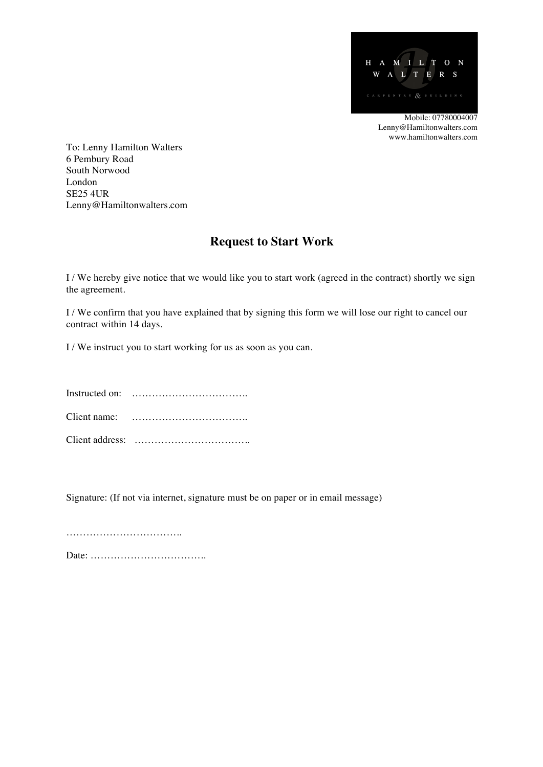

To: Lenny Hamilton Walters 6 Pembury Road South Norwood London SE25 4UR Lenny@Hamiltonwalters.com

## **Request to Start Work**

I / We hereby give notice that we would like you to start work (agreed in the contract) shortly we sign the agreement.

I / We confirm that you have explained that by signing this form we will lose our right to cancel our contract within 14 days.

I / We instruct you to start working for us as soon as you can.

Instructed on: …………………………….. Client name: …………………………….. Client address: ……………………………..

Signature: (If not via internet, signature must be on paper or in email message)

………………………………… Date: ……………………………..